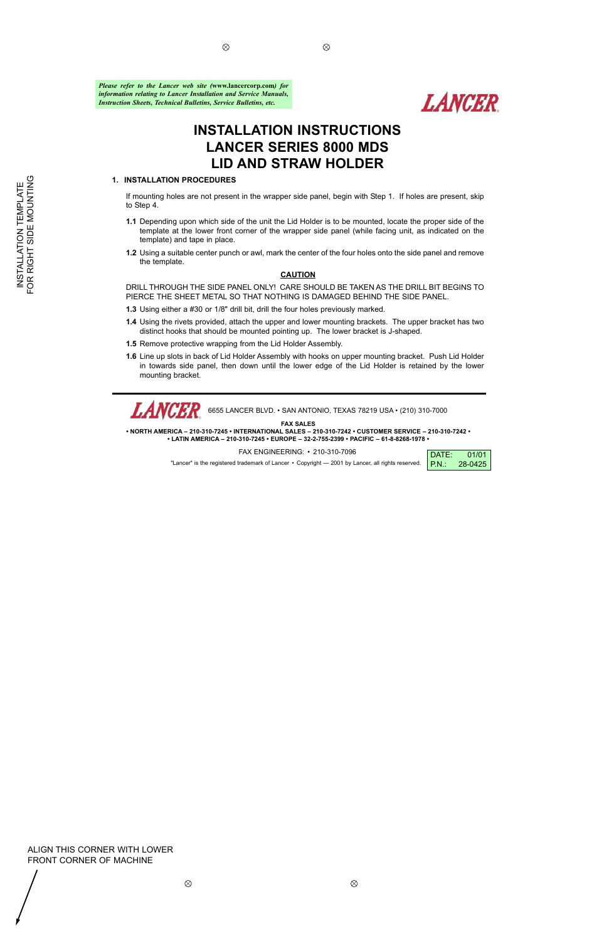$\otimes$ 

## ALIGN THIS CORNER WITH LOWER FRONT CORNER OF MACHINE

 $\otimes$ 

 $\otimes$ 

# **INSTALLATION INSTRUCTIONS LANCER SERIES 8000 MDS LID AND STRAW HOLDER**

 $\otimes$ 

## **1. INSTALLATION PROCEDURES**

If mounting holes are not present in the wrapper side panel, begin with Step 1. If holes are present, skip to Step 4.

- **1.1** Depending upon which side of the unit the Lid Holder is to be mounted, locate the proper side of the template at the lower front corner of the wrapper side panel (while facing unit, as indicated on the template) and tape in place.
- **1.2** Using a suitable center punch or awl, mark the center of the four holes onto the side panel and remove the template.

## **CAUTION**

*LANCER* 6655 LANCER BLVD. • SAN ANTONIO, TEXAS 78219 USA • (210) 310-7000

DRILL THROUGH THE SIDE PANEL ONLY! CARE SHOULD BE TAKEN AS THE DRILL BIT BEGINS TO PIERCE THE SHEET METAL SO THAT NOTHING IS DAMAGED BEHIND THE SIDE PANEL.

- **1.3** Using either a #30 or 1/8" drill bit, drill the four holes previously marked.
- **1.4** Using the rivets provided, attach the upper and lower mounting brackets. The upper bracket has two distinct hooks that should be mounted pointing up. The lower bracket is J-shaped.
- **1.5** Remove protective wrapping from the Lid Holder Assembly.
- **1.6** Line up slots in back of Lid Holder Assembly with hooks on upper mounting bracket. Push Lid Holder in towards side panel, then down until the lower edge of the Lid Holder is retained by the lower mounting bracket.

#### **FAX SALES**

**• NORTH AMERICA – 210-310-7245 • INTERNATIONAL SALES – 210-310-7242 • CUSTOMER SERVICE – 210-310-7242 • • LATIN AMERICA – 210-310-7245 • EUROPE – 32-2-755-2399 • PACIFIC – 61-8-8268-1978 •**

FAX ENGINEERING: • 210-310-7096

"Lancer" is the registered trademark of Lancer • Copyright — 2001 by Lancer, all rights reserved.



*Please refer to the Lancer web site (***www.lancercorp.com***) for information relating to Lancer Installation and Service Manuals, Instruction Sheets, Technical Bulletins, Service Bulletins, etc.*